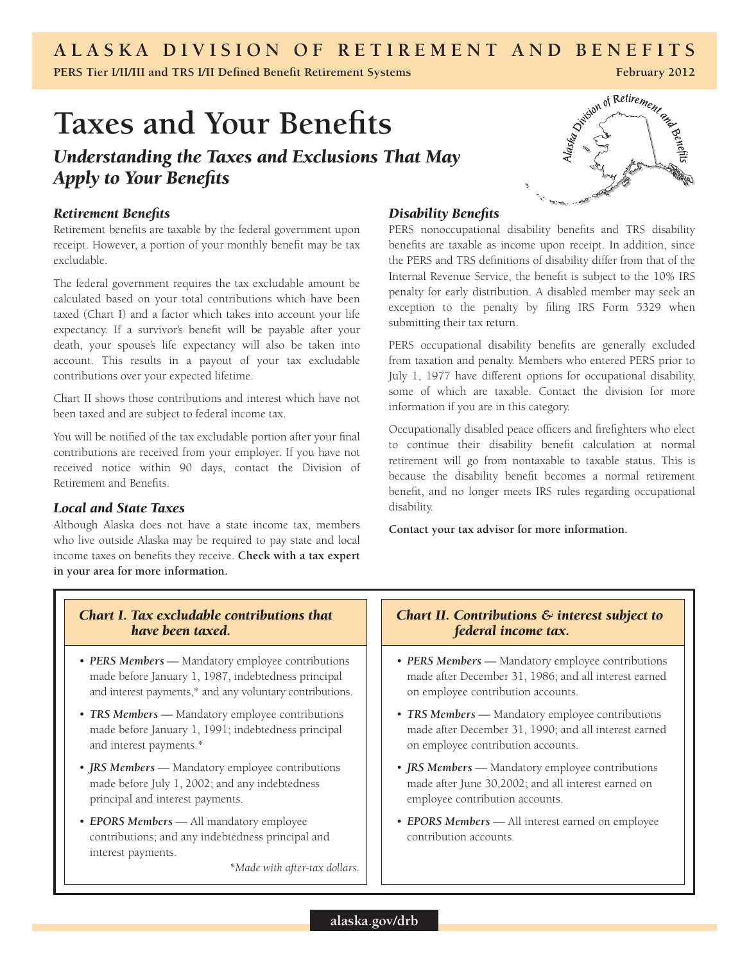# **ALASKA DIVISION OF RETIREMENT AND BENEFITS**

**PERS Tier I/II/III and TRS I/II Defined Benefit Retirement Systems February 2012** 

# **Taxes and Your Benefits**

# *Understanding the Taxes and Exclusions That May Apply to Your Benefits*



#### *Retirement Benefits*

Retirement benefits are taxable by the federal government upon receipt. However, a portion of your monthly benefit may be tax excludable.

The federal government requires the tax excludable amount be calculated based on your total contributions which have been taxed (Chart I) and a factor which takes into account your life expectancy. If a survivor's benefit will be payable after your death, your spouse's life expectancy will also be taken into account. This results in a payout of your tax excludable contributions over your expected lifetime.

Chart II shows those contributions and interest which have not been taxed and are subject to federal income tax.

You will be notified of the tax excludable portion after your final contributions are received from your employer. If you have not received notice within 90 days, contact the Division of Retirement and Benefits.

## *Local and State Taxes*

Although Alaska does not have a state income tax, members who live outside Alaska may be required to pay state and local income taxes on benefits they receive. **Check with a tax expert in your area for more information.** 

# *Disability Benefits*

PERS nonoccupational disability benefits and TRS disability benefits are taxable as income upon receipt. In addition, since the PERS and TRS definitions of disability differ from that of the Internal Revenue Service, the benefit is subject to the 10% IRS penalty for early distribution. A disabled member may seek an exception to the penalty by filing IRS Form 5329 when submitting their tax return.

PERS occupational disability benefits are generally excluded from taxation and penalty. Members who entered PERS prior to July 1, 1977 have different options for occupational disability, some of which are taxable. Contact the division for more information if you are in this category.

Occupationally disabled peace officers and firefighters who elect to continue their disability benefit calculation at normal retirement will go from nontaxable to taxable status. This is because the disability benefit becomes a normal retirement benefit, and no longer meets IRS rules regarding occupational disability.

**Contact your tax advisor for more information.**

#### *Chart I. Tax excludable contributions that have been taxed.*

- PERS Members Mandatory employee contributions made before January 1, 1987, indebtedness principal and interest payments,\* and any voluntary contributions.
- TRS Members Mandatory employee contributions made before January 1, 1991; indebtedness principal and interest payments.\*
- **JRS Members** Mandatory employee contributions made before July 1, 2002; and any indebtedness principal and interest payments.
- • *EPORS Members* All mandatory employee contributions; and any indebtedness principal and interest payments.

*\*Made with after-tax dollars.*

## *Chart II. Contributions & interest subject to federal income tax.*

- PERS Members Mandatory employee contributions made after December 31, 1986; and all interest earned on employee contribution accounts.
- TRS Members Mandatory employee contributions made after December 31, 1990; and all interest earned on employee contribution accounts.
- **JRS Members** Mandatory employee contributions made after June 30,2002; and all interest earned on employee contribution accounts.
- **EPORS Members** All interest earned on employee contribution accounts.